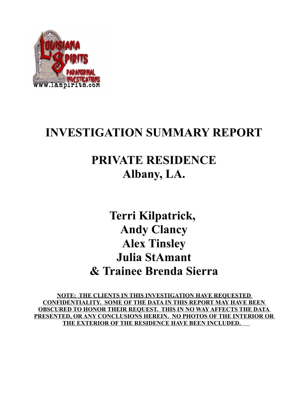

## **INVESTIGATION SUMMARY REPORT**

# **PRIVATE RESIDENCE Albany, LA.**

**Terri Kilpatrick, Andy Clancy Alex Tinsley Julia StAmant & Trainee Brenda Sierra**

**NOTE: THE CLIENTS IN THIS INVESTIGATION HAVE REQUESTED CONFIDENTIALITY. SOME OF THE DATA IN THIS REPORT MAY HAVE BEEN OBSCURED TO HONOR THEIR REQUEST. THIS IN NO WAY AFFECTS THE DATA PRESENTED, OR ANY CONCLUSIONS HEREIN. NO PHOTOS OF THE INTERIOR OR THE EXTERIOR OF THE RESIDENCE HAVE BEEN INCLUDED.**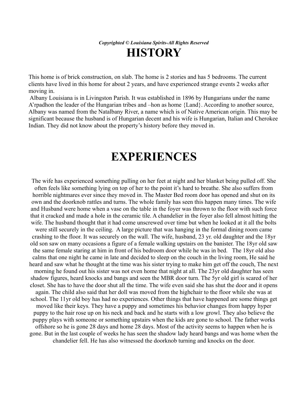*Copyrighted © Louisiana Spirits-All Rights Reserved* **HISTORY**

This home is of brick construction, on slab. The home is 2 stories and has 5 bedrooms. The current clients have lived in this home for about 2 years, and have experienced strange events 2 weeks after moving in.

 Albany Louisiana is in Livingston Parish. It was established in 1896 by Hungarians under the name A'rpadhon the leader of the Hungarian tribes and –hon as home {Land}. According to another source, Albany was named from the Natalbany River, a name which is of Native American origin. This may be significant because the husband is of Hungarian decent and his wife is Hungarian, Italian and Cherokee Indian. They did not know about the property's history before they moved in.

### **EXPERIENCES**

The wife has experienced something pulling on her feet at night and her blanket being pulled off. She often feels like something lying on top of her to the point it's hard to breathe. She also suffers from horrible nightmares ever since they moved in. The Master Bed room door has opened and shut on its own and the doorknob rattles and turns. The whole family has seen this happen many times. The wife and Husband were home when a vase on the table in the foyer was thrown to the floor with such force that it cracked and made a hole in the ceramic tile. A chandelier in the foyer also fell almost hitting the wife. The husband thought that it had come unscrewed over time but when he looked at it all the bolts were still securely in the ceiling. A large picture that was hanging in the formal dining room came crashing to the floor. It was securely on the wall. The wife, husband, 23 yr. old daughter and the 18yr old son saw on many occasions a figure of a female walking upstairs on the banister. The 18yr old saw the same female staring at him in front of his bedroom door while he was in bed. The 18yr old also calms that one night he came in late and decided to sleep on the couch in the living room, He said he heard and saw what he thought at the time was his sister trying to make him get off the couch, The next morning he found out his sister was not even home that night at all. The 23yr old daughter has seen shadow figures, heard knocks and bangs and seen the MBR door turn. The 5yr old girl is scared of her closet. She has to have the door shut all the time. The wife even said she has shut the door and it opens again. The child also said that her doll was moved from the highchair to the floor while she was at school. The 11yr old boy has had no experiences. Other things that have happened are some things get moved like their keys. They have a puppy and sometimes his behavior changes from happy hyper puppy to the hair rose up on his neck and back and he starts with a low growl. They also believe the puppy plays with someone or something upstairs when the kids are gone to school. The father works offshore so he is gone 28 days and home 28 days. Most of the activity seems to happen when he is gone. But in the last couple of weeks he has seen the shadow lady heard bangs and was home when the chandelier fell. He has also witnessed the doorknob turning and knocks on the door.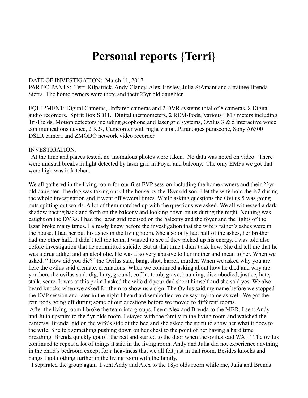### **Personal reports {Terri}**

#### DATE OF INVESTIGATION: March 11, 2017

PARTICIPANTS: Terri Kilpatrick, Andy Clancy, Alex Tinsley, Julia StAmant and a trainee Brenda Sierra. The home owners were there and their 23yr old daughter.

EQUIPMENT: Digital Cameras, Infrared cameras and 2 DVR systems total of 8 cameras, 8 Digital audio recorders, Spirit Box SB11, Digital thermometers, 2 REM-Pods, Various EMF meters including Tri-Fields, Motion detectors including geophone and laser grid systems, Ovilus 3 & 5 interactive voice communications device, 2 K2s, Camcorder with night vision,.Paranogies parascope, Sony A6300 DSLR camera and ZMODO network video recorder

#### INVESTIGATION:

 At the time and places tested, no anomalous photos were taken. No data was noted on video. There were unusual breaks in light detected by laser grid in Foyer and balcony. The only EMFs we got that were high was in kitchen.

We all gathered in the living room for our first EVP session including the home owners and their 23yr old daughter. The dog was taking out of the house by the 18yr old son. I let the wife hold the K2 during the whole investigation and it went off several times. While asking questions the Ovilus 5 was going nuts spitting out words. A lot of them matched up with the questions we asked. We all witnessed a dark shadow pacing back and forth on the balcony and looking down on us during the night. Nothing was caught on the DVRs. I had the lazar grid focused on the balcony and the foyer and the lights of the lazar broke many times. I already knew before the investigation that the wife's father's ashes were in the house. I had her put his ashes in the living room. She also only had half of the ashes, her brother had the other half.. I didn't tell the team, I wanted to see if they picked up his energy. I was told also before investigation that he committed suicide. But at that time I didn't ask how. She did tell me that he was a drug addict and an alcoholic. He was also very abusive to her mother and mean to her. When we asked. " How did you die?" the Ovilus said, bang, shot, barrel, murder. When we asked why you are here the ovilus said cremate, cremations. When we continued asking about how he died and why are you here the ovilus said: dig, bury, ground, coffin, tomb, grave, haunting, disembodied, justice, hate, stalk, scare. It was at this point I asked the wife did your dad shoot himself and she said yes. We also heard knocks when we asked for them to show us a sign. The Ovilus said my name before we stopped the EVP session and later in the night I heard a disembodied voice say my name as well. We got the rem pods going off during some of our questions before we moved to different rooms.

 After the living room I broke the team into groups. I sent Alex and Brenda to the MBR. I sent Andy and Julia upstairs to the 5yr olds room. I stayed with the family in the living room and watched the cameras. Brenda laid on the wife's side of the bed and she asked the spirit to show her what it does to the wife. She felt something pushing down on her chest to the point of her having a hard time breathing. Brenda quickly got off the bed and started to the door when the ovilus said WAIT. The ovilus continued to repeat a lot of things it said in the living room. Andy and Julia did not experience anything in the child's bedroom except for a heaviness that we all felt just in that room. Besides knocks and bangs I got nothing further in the living room with the family.

I separated the group again .I sent Andy and Alex to the 18yr olds room while me, Julia and Brenda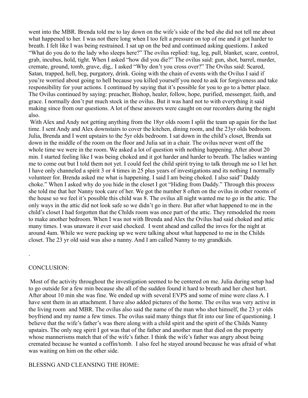went into the MBR. Brenda told me to lay down on the wife's side of the bed she did not tell me about what happened to her. I was not there long when I too felt a pressure on top of me and it got harder to breath. I felt like I was being restrained. I sat up on the bed and continued asking questions. I asked "What do you do to the lady who sleeps here?" The ovilus replied: tug, leg, pull, blanket, scare, control, grab, incubus, hold, tight. When I asked "how did you die?" The ovilus said: gun, shot, barrel, murder, cremate, ground, tomb, grave, dig,. I asked "Why don't you cross over?" The Ovilus said: Scared, Satan, trapped, hell, beg, purgatory, drink. Going with the chain of events with the Ovilus I said if you're worried about going to hell because you killed yourself you need to ask for forgiveness and take responsibility for your actions. I continued by saying that it's possible for you to go to a better place. The Ovilus continued by saying: preacher, Bishop, healer, follow, hope, purified, messenger, faith, and grace. I normally don't put much stock in the ovilus. But it was hard not to with everything it said making since from our questions. A lot of these answers were caught on our recorders during the night also.

With Alex and Andy not getting anything from the 18yr olds room I split the team up again for the last time. I sent Andy and Alex downstairs to cover the kitchen, dining room, and the 23yr olds bedroom. Julia, Brenda and I went upstairs to the 5yr olds bedroom. I sat down in the child's closet, Brenda sat down in the middle of the room on the floor and Julia sat in a chair. The ovilus never went off the whole time we were in the room. We asked a lot of question with nothing happening. After about 20 min. I started feeling like I was being choked and it got harder and harder to breath. The ladies wanting me to come out but I told them not yet. I could feel the child spirit trying to talk through me so I let her. I have only channeled a spirit 3 or 4 times in 25 plus years of investigations and its nothing I normally volunteer for. Brenda asked me what is happening. I said I am being choked. I also said" Daddy choke." When I asked why do you hide in the closet I got "Hiding from Daddy." Through this process she told me that her Nanny took care of her. We got the number 8 often on the ovilus in other rooms of the house so we feel it's possible this child was 8. The ovilus all night wanted me to go in the attic. The only ways in the attic did not look safe so we didn't go in there. But after what happened to me in the child's closet I had forgotten that the Childs room was once part of the attic. They remodeled the room to make another bedroom. When I was not with Brenda and Alex the Ovilus had said choked and attic many times. I was unaware it ever said chocked. I went ahead and called the inves for the night at around 4am. While we were packing up we were talking about what happened to me in the Childs closet. The 23 yr old said was also a nanny. And I am called Nanny to my grandkids.

#### CONCLUSION:

.

 Most of the activity throughout the investigation seemed to be centered on me. Julia during setup had to go outside for a few min because she all of the sudden found it hard to breath and her chest hurt. After about 10 min she was fine. We ended up with several EVPS and some of mine were class A. I have sent them in an attachment. I have also added pictures of the home. The ovilus was very active in the living room and MBR. The ovilus also said the name of the man who shot himself, the 23 yr olds boyfriend and my name a few times. The ovilus said many things that fit into our line of questioning. I believe that the wife's father's was there along with a child spirit and the spirit of the Childs Nanny upstairs. The only neg spirit I got was that of the father and another man that died on the property whose mannerisms match that of the wife's father. I think the wife's father was angry about being cremated because he wanted a coffin/tomb. I also feel he stayed around because he was afraid of what was waiting on him on the other side.

#### BLESSNG AND CLEANSING THE HOME: